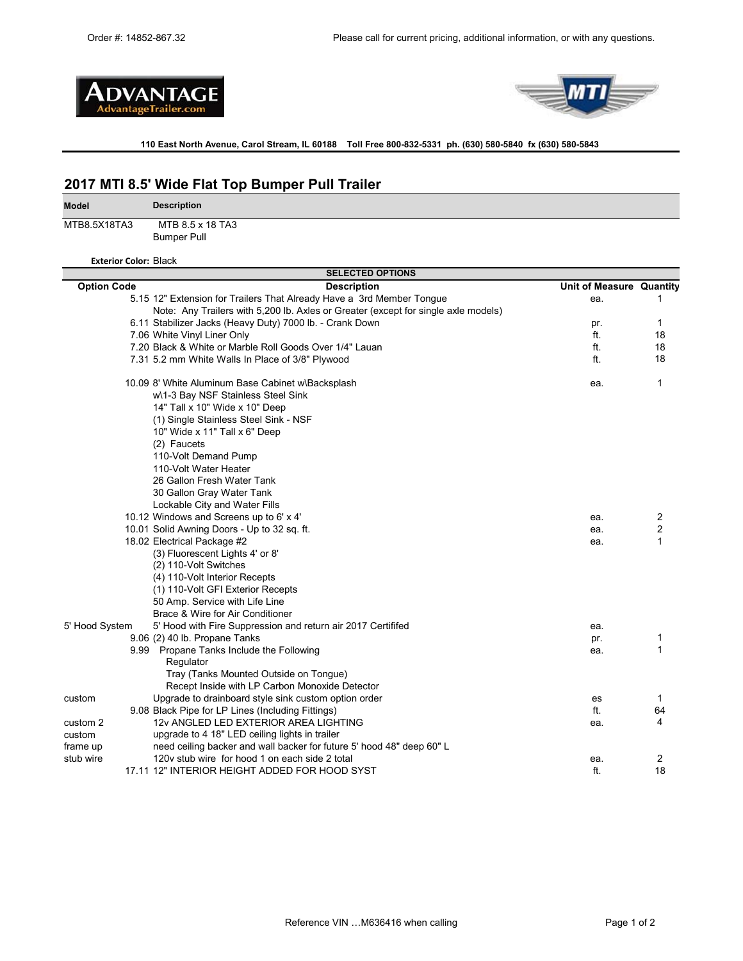



**110 East North Avenue, Carol Stream, IL 60188 Toll Free 800-832-5331 ph. (630) 580-5840 fx (630) 580-5843** 

# **2017 MTI 8.5' Wide Flat Top Bumper Pull Trailer**

MTB8.5X18TA3 MTB 8.5 x 18 TA3

**Model**

Bumper Pull

**Description**

**Exterior Color:** Black

| <b>SELECTED OPTIONS</b>                                                            |                          |                |  |  |  |
|------------------------------------------------------------------------------------|--------------------------|----------------|--|--|--|
| <b>Option Code</b><br><b>Description</b>                                           | Unit of Measure Quantity |                |  |  |  |
| 5.15 12" Extension for Trailers That Already Have a 3rd Member Tongue              | ea.                      | 1              |  |  |  |
| Note: Any Trailers with 5,200 lb. Axles or Greater (except for single axle models) |                          |                |  |  |  |
| 6.11 Stabilizer Jacks (Heavy Duty) 7000 lb. - Crank Down                           | pr.                      | 1              |  |  |  |
| 7.06 White Vinyl Liner Only                                                        | ft.                      | 18             |  |  |  |
| 7.20 Black & White or Marble Roll Goods Over 1/4" Lauan                            | ft.                      | 18             |  |  |  |
| 7.31 5.2 mm White Walls In Place of 3/8" Plywood                                   | ft.                      | 18             |  |  |  |
| 10.09 8' White Aluminum Base Cabinet w\Backsplash                                  | ea.                      | 1              |  |  |  |
| w\1-3 Bay NSF Stainless Steel Sink                                                 |                          |                |  |  |  |
| 14" Tall x 10" Wide x 10" Deep                                                     |                          |                |  |  |  |
| (1) Single Stainless Steel Sink - NSF                                              |                          |                |  |  |  |
| 10" Wide x 11" Tall x 6" Deep                                                      |                          |                |  |  |  |
| (2) Faucets                                                                        |                          |                |  |  |  |
| 110-Volt Demand Pump                                                               |                          |                |  |  |  |
| 110-Volt Water Heater                                                              |                          |                |  |  |  |
| 26 Gallon Fresh Water Tank                                                         |                          |                |  |  |  |
| 30 Gallon Gray Water Tank                                                          |                          |                |  |  |  |
| Lockable City and Water Fills                                                      |                          |                |  |  |  |
| 10.12 Windows and Screens up to 6' x 4'                                            | ea.                      | $\overline{c}$ |  |  |  |
| 10.01 Solid Awning Doors - Up to 32 sq. ft.                                        | ea.                      | 2              |  |  |  |
| 18.02 Electrical Package #2                                                        | ea.                      | 1              |  |  |  |
| (3) Fluorescent Lights 4' or 8'                                                    |                          |                |  |  |  |
| (2) 110-Volt Switches                                                              |                          |                |  |  |  |
| (4) 110-Volt Interior Recepts                                                      |                          |                |  |  |  |
| (1) 110-Volt GFI Exterior Recepts                                                  |                          |                |  |  |  |
| 50 Amp. Service with Life Line                                                     |                          |                |  |  |  |
| Brace & Wire for Air Conditioner                                                   |                          |                |  |  |  |
| 5' Hood System<br>5' Hood with Fire Suppression and return air 2017 Certififed     | ea.                      |                |  |  |  |
| 9.06 (2) 40 lb. Propane Tanks                                                      | pr.                      | 1              |  |  |  |
| 9.99 Propane Tanks Include the Following                                           | ea.                      | 1              |  |  |  |
| Regulator                                                                          |                          |                |  |  |  |
| Tray (Tanks Mounted Outside on Tongue)                                             |                          |                |  |  |  |
| Recept Inside with LP Carbon Monoxide Detector                                     |                          |                |  |  |  |
| Upgrade to drainboard style sink custom option order<br>custom                     | <b>es</b>                | $\mathbf{1}$   |  |  |  |
| 9.08 Black Pipe for LP Lines (Including Fittings)                                  | ft.                      | 64             |  |  |  |
| 12v ANGLED LED EXTERIOR AREA LIGHTING<br>custom 2                                  | ea.                      | 4              |  |  |  |
| custom<br>upgrade to 4 18" LED ceiling lights in trailer                           |                          |                |  |  |  |
| need ceiling backer and wall backer for future 5' hood 48" deep 60" L<br>frame up  |                          |                |  |  |  |
| 120v stub wire for hood 1 on each side 2 total<br>stub wire                        | ea.                      | 2              |  |  |  |
| 17.11 12" INTERIOR HEIGHT ADDED FOR HOOD SYST                                      | ft.                      | 18             |  |  |  |